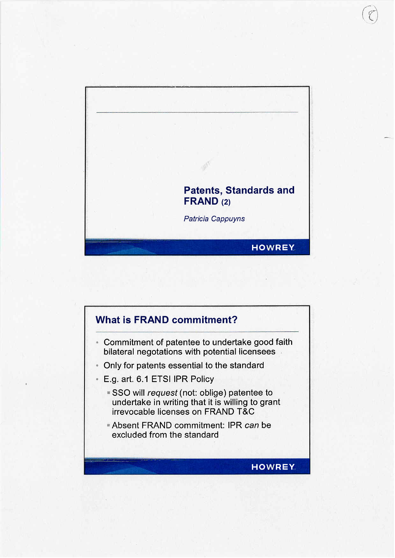

 $\sqrt{2}$ 

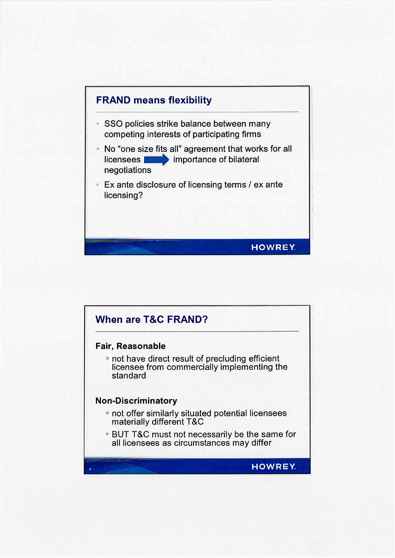

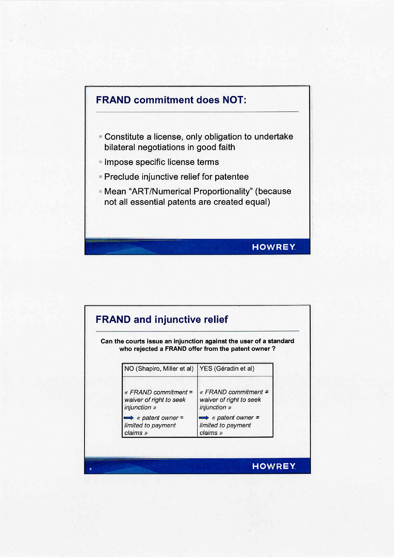

|                                                                   | Can the courts issue an injunction against the user of a standard<br>who rejected a FRAND offer from the patent owner? |
|-------------------------------------------------------------------|------------------------------------------------------------------------------------------------------------------------|
| NO (Shapiro, Miller et al)   YES (Géradin et al)                  |                                                                                                                        |
| « $FRAND$ commitment =<br>waiver of right to seek<br>injunction » | « FRAND commitment $\neq$<br>waiver of right to seek<br>injunction »                                                   |
| $\Rightarrow$ « patent owner =<br>limited to payment<br>claims »  | $\Rightarrow$ « patent owner $\neq$<br>limited to payment<br>claims »                                                  |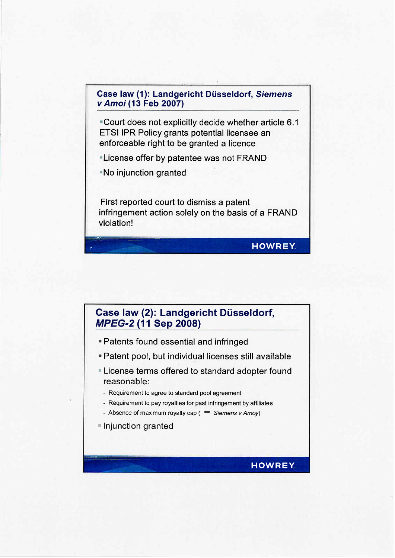## Case law (1): Landgericht Düsseldorf, Siemens v Amoi (13 Feb 2007)

**Court does not explicitly decide whether article 6.1** ETSI IPR Policy grants potential licensee an enforceable right to be granted a licence

- **License offer by patentee was not FRAND**
- **No injunction granted**

First reported court to dismiss a patent infringement action solely on the basis of a FRAND violation! ------ 7 .' HOWREY. \_~\_~~~ \_\_..\_, ;.'-::~



- 11 Patents found essential and infringed
- .'Patent pool, but individual licenses still available
- **License terms offered to standard adopter found** reasonable:
	- ~ Requirement to agree to standard pool agreement
	- Requirement to pay royalties for past infringement by affliates
- Absence of maximum royalty cap ( $\leftrightarrow$  Siemens v Amoy)
- $\blacksquare$  Injunction granted = injuriction granted<br>
=<br>
HOWREY